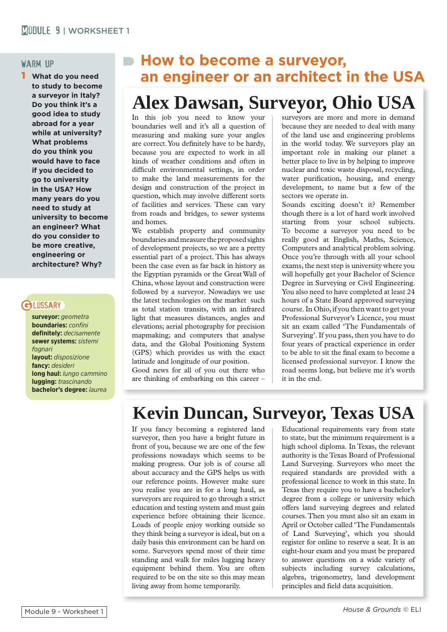### warm up

1 **What do you need to study to become a surveyor in Italy? Do you think it's a good idea to study abroad for a year while at university? What problems do you think you would have to face if you decided to go to university in the USA? How many years do you need to study at university to become an engineer? What do you consider to be more creative, engineering or architecture? Why?**

# **GLOSSARY**

**surveyor:** *geometra* **boundaries:** *confini* **defi nitely:** *decisamente* **sewer systems:** *sistemi fognari* **layout:** *disposizione* **fancy:** *desideri* **long haul:** *lungo cammino* **lugging:** *trascinando* **bachelor's degree:** *laurea*

# **How to become a surveyor, an engineer or an architect in the USA**

# **Alex Dawsan, Surveyor, Ohio USA**

In this job you need to know your boundaries well and it's all a question of measuring and making sure your angles are correct. You definitely have to be hardy, because you are expected to work in all kinds of weather conditions and often in difficult environmental settings, in order to make the land measurements for the design and construction of the project in question, which may involve different sorts of facilities and services. These can vary from roads and bridges, to sewer systems and homes.

We establish property and community boundaries and measure the proposed sights of development projects, so we are a pretty essential part of a project. This has always been the case even as far back in history as the Egyptian pyramids or the Great Wall of China, whose layout and construction were followed by a surveyor. Nowadays we use the latest technologies on the market such as total station transits, with an infrared light that measures distances, angles and elevations; aerial photography for precision mapmaking; and computers that analyse data, and the Global Positioning System (GPS) which provides us with the exact latitude and longitude of our position.

Good news for all of you out there who are thinking of embarking on this career – surveyors are more and more in demand because they are needed to deal with many of the land use and engineering problems in the world today. We surveyors play an important role in making our planet a better place to live in by helping to improve nuclear and toxic waste disposal, recycling, water purification, housing, and energy development, to name but a few of the sectors we operate in.

Sounds exciting doesn't it? Remember though there is a lot of hard work involved starting from your school subjects. To become a surveyor you need to be really good at English, Maths, Science, Computers and analytical problem solving. Once you're through with all your school exams, the next step is university where you will hopefully get your Bachelor of Science Degree in Surveying or Civil Engineering. You also need to have completed at least 24 hours of a State Board approved surveying course. In Ohio, if you then want to get your Professional Surveyor's Licence, you must sit an exam called 'The Fundamentals of Surveying'. If you pass, then you have to do four years of practical experience in order to be able to sit the final exam to become a licensed professional surveyor. I know the road seems long, but believe me it's worth it in the end.

# **Kevin Duncan, Surveyor, Texas USA**

If you fancy becoming a registered land surveyor, then you have a bright future in front of you, because we are one of the few professions nowadays which seems to be making progress. Our job is of course all about accuracy and the GPS helps us with our reference points. However make sure you realise you are in for a long haul, as surveyors are required to go through a strict education and testing system and must gain experience before obtaining their licence. Loads of people enjoy working outside so they think being a surveyor is ideal, but on a daily basis this environment can be hard on some. Surveyors spend most of their time standing and walk for miles lugging heavy equipment behind them. You are often required to be on the site so this may mean living away from home temporarily.

algebra, trigonometry, land development Educational requirements vary from state to state, but the minimum requirement is a high school diploma. In Texas, the relevant authority is the Texas Board of Professional Land Surveying. Surveyors who meet the required standards are provided with a professional licence to work in this state. In Texas they require you to have a bachelor's degree from a college or university which offers land surveying degrees and related courses. Then you must also sit an exam in April or October called 'The Fundamentals of Land Surveying', which you should register for online to reserve a seat. It is an eight-hour exam and you must be prepared to answer questions on a wide variety of subjects including survey calculations, principles and field data acquisition.